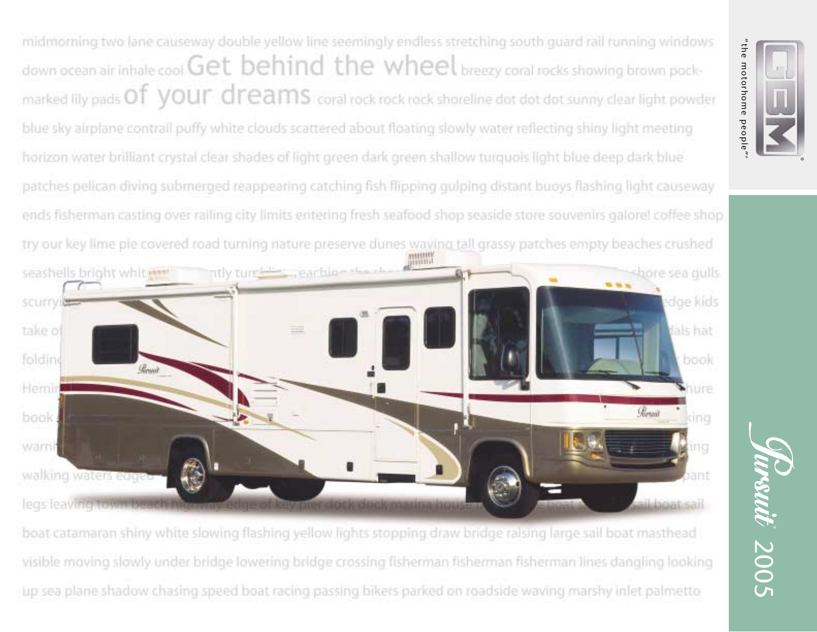midmorning two lane causeway double yellow line seemingly endless stretching south quard rail running windows down ocean air inhale cool Get behind the wheel breezy coral rocks showing brown pockmarked lily pads Of your dreams coral rock rock rock shoreline dot dot dot sunny clear light powder blue sky airplane contrall puffy white clouds scattered about floating slowly water reflecting shiny light meeting horizon water brilliant crystal clear shades of light green dark green shallow turguois light blue deep dark blue patches pelican diving submerged reappearing catching fish flipping gulping distant buoys flashing light causeway ends fisherman casting over railing city limits entering fresh seafood shop seaside store souvenirs galorel coffee shop. try our key lime pie covered road turning nature preserve dunes waving tall grassy patches empty beaches crushed ntly turnide eaching the seashells bright whit ..... shore sea gulls edge kids scurryi take of dals hat folding book Hemir hure Parsail book dna warni ina walking waters edge trist leas leaving town be boat catamaran shiny white slowing flashing yellow lights stopping draw bridge raising large sail boat masthead visible moving slowly under bridge lowering bridge crossing fisherman fisherman fisherman lines dangling looking up sea plane shadow chasing speed boat racing passing bikers parked on roadside waving marshy inlet palmetto

"the motorhome people" "the motorhome people"

Trsuit 2005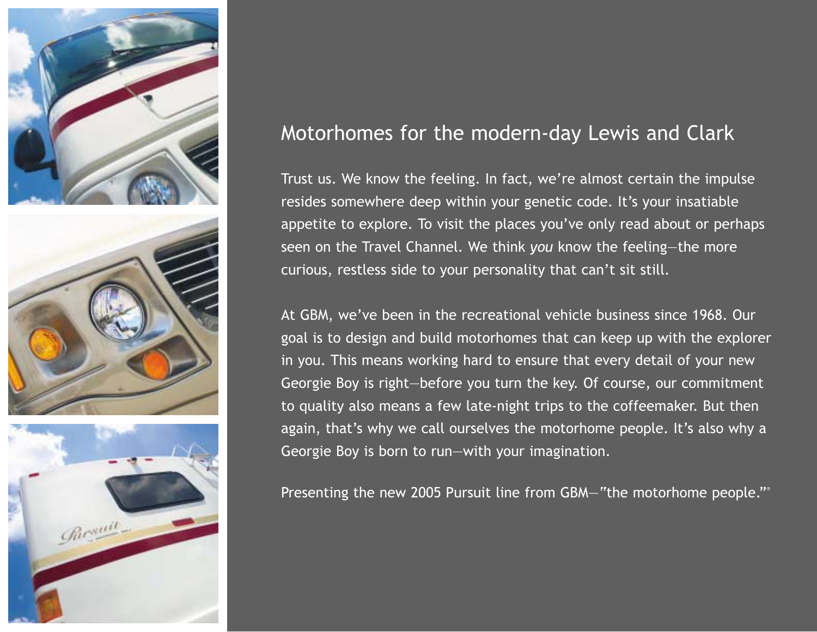

# Motorhomes for the modern-day Lewis and Clark

Trust us. We know the feeling. In fact, we're almost certain the impulse resides somewhere deep within your genetic code. It's your insatiable appetite to explore. To visit the places you've only read about or perhaps seen on the Travel Channel. We think *you* know the feeling—the more curious, restless side to your personality that can't sit still.

At GBM, we've been in the recreational vehicle business since 1968. Our goal is to design and build motorhomes that can keep up with the explorer in you. This means working hard to ensure that every detail of your new Georgie Boy is right—before you turn the key. Of course, our commitment to quality also means a few late-night trips to the coffeemaker. But then again, that's why we call ourselves the motorhome people. It's also why a Georgie Boy is born to run—with your imagination.

Presenting the new 2005 Pursuit line from GBM—"the motorhome people."®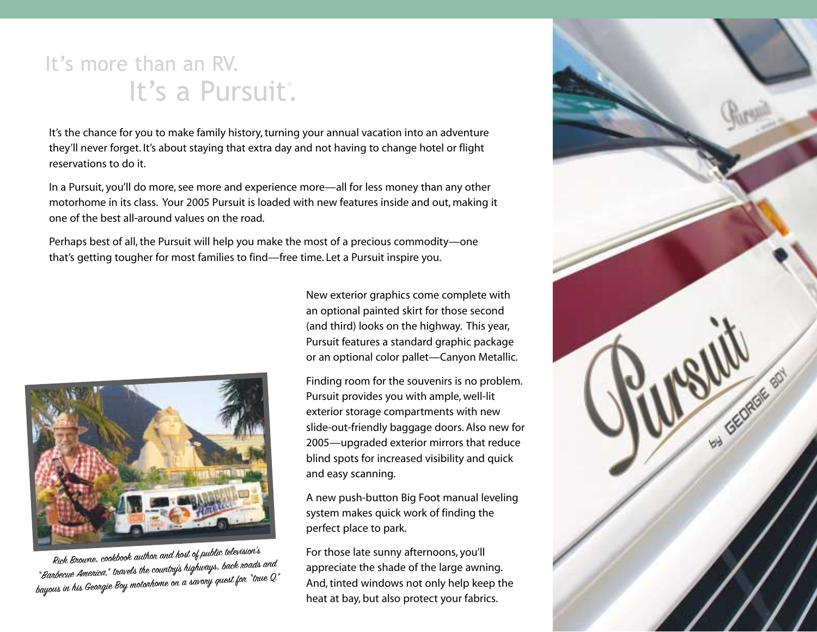# It's more than an RV. It's a Pursuit'.

It's the chance for you to make family history, turning your annual vacation into an adventure they'll never forget. It's about staying that extra day and not having to change hotel or flight reservations to do it.

In a Pursuit, you'll do more, see more and experience more—all for less money than any other motorhome in its class. Your 2005 Pursuit is loaded with new features inside and out, making it one of the best all-around values on the road.

Perhaps best of all, the Pursuit will help you make the most of a precious commodity—one that's getting tougher for most families to find—free time. Let a Pursuit inspire you.



Rick Browne, cookbook author and host of public television's "Barbecue America," travels the country's highways, back roads and bayous in his Georgie Boy motorhome on a savory quest for "true Q."

New exterior graphics come complete with an optional painted skirt for those second (and third) looks on the highway. This year, Pursuit features a standard graphic package or an optional color pallet—Canyon Metallic.

Finding room for the souvenirs is no problem. Pursuit provides you with ample, well-lit exterior storage compartments with new slide-out-friendly baggage doors. Also new for 2005—upgraded exterior mirrors that reduce blind spots for increased visibility and quick and easy scanning.

A new push-button Big Foot manual leveling system makes quick work of finding the perfect place to park.

For those late sunny afternoons, you'll appreciate the shade of the large awning. And, tinted windows not only help keep the heat at bay, but also protect your fabrics.

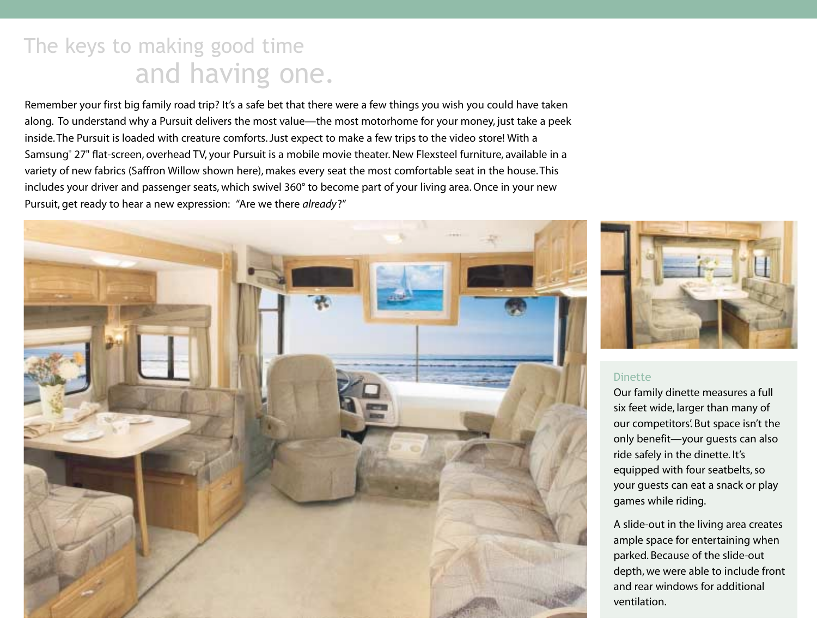# The keys to making good time and having one.

Remember your first big family road trip? It's a safe bet that there were a few things you wish you could have taken along. To understand why a Pursuit delivers the most value—the most motorhome for your money, just take a peek inside. The Pursuit is loaded with creature comforts. Just expect to make a few trips to the video store! With a Samsung® 27" flat-screen, overhead TV, your Pursuit is a mobile movie theater. New Flexsteel furniture, available in a variety of new fabrics (Saffron Willow shown here), makes every seat the most comfortable seat in the house. This includes your driver and passenger seats, which swivel 360° to become part of your living area. Once in your new Pursuit, get ready to hear a new expression: "Are we there *already*?"





### Dinette

Our family dinette measures a full six feet wide, larger than many of our competitors'. But space isn't the only benefit—your guests can also ride safely in the dinette. It's equipped with four seatbelts, so your guests can eat a snack or play games while riding.

A slide-out in the living area creates ample space for entertaining when parked. Because of the slide-out depth, we were able to include front and rear windows for additional ventilation.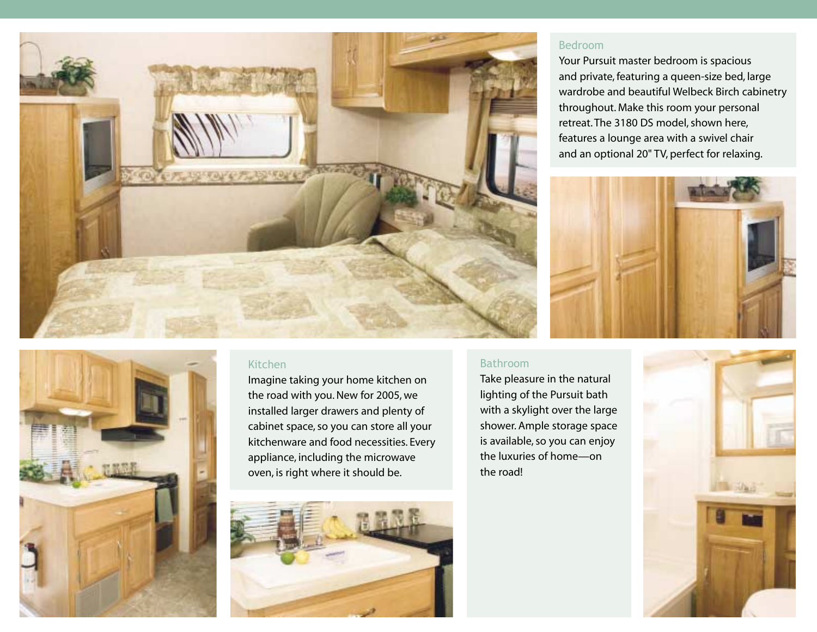

#### Bedroom

Your Pursuit master bedroom is spacious and private, featuring a queen-size bed, large wardrobe and beautiful Welbeck Birch cabinetry throughout. Make this room your personal retreat. The 3180 DS model, shown here, features a lounge area with a swivel chair and an optional 20" TV, perfect for relaxing.



### Kitchen

Imagine taking your home kitchen on the road with you. New for 2005, we installed larger drawers and plenty of cabinet space, so you can store all your kitchenware and food necessities. Every appliance, including the microwave oven, is right where it should be.



#### Bathroom

Take pleasure in the natural lighting of the Pursuit bath with a skylight over the large shower. Ample storage space is available, so you can enjoy the luxuries of home—on the road!

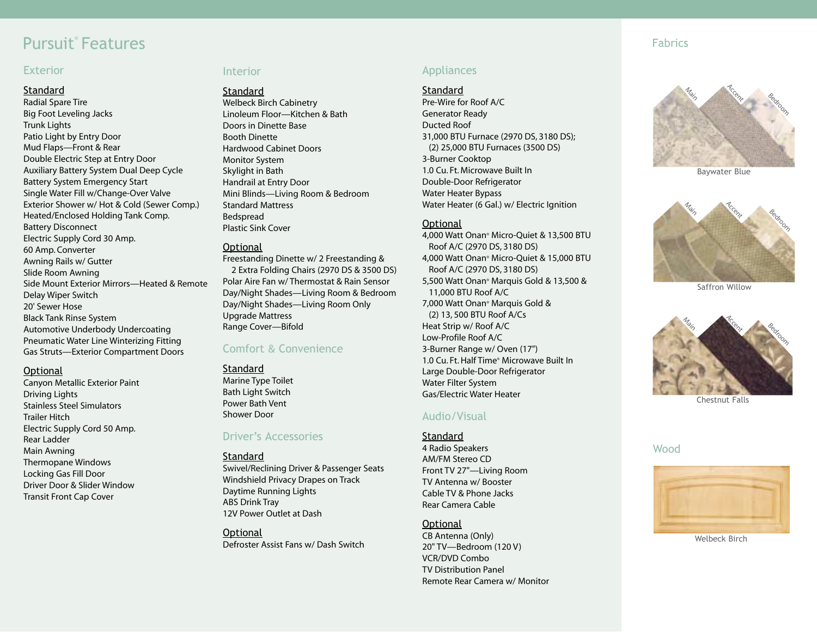# Pursuit® Features

#### Exterior

#### **Standard**

Radial Spare Tire Big Foot Leveling Jacks Trunk Lights Patio Light by Entry Door Mud Flaps—Front & Rear Double Electric Step at Entry Door Auxiliary Battery System Dual Deep Cycle Battery System Emergency Start Single Water Fill w/Change-Over Valve Exterior Shower w/ Hot & Cold (Sewer Comp.) Heated/Enclosed Holding Tank Comp. Battery Disconnect Electric Supply Cord 30 Amp. 60 Amp. Converter Awning Rails w/ Gutter Slide Room Awning Side Mount Exterior Mirrors—Heated & Remote Delay Wiper Switch 20' Sewer Hose Black Tank Rinse System Automotive Underbody Undercoating Pneumatic Water Line Winterizing Fitting Gas Struts—Exterior Compartment Doors

#### **Optional**

Canyon Metallic Exterior Paint Driving Lights Stainless Steel Simulators Trailer Hitch Electric Supply Cord 50 Amp. Rear Ladder Main Awning Thermopane Windows Locking Gas Fill Door Driver Door & Slider Window Transit Front Cap Cover

#### Interior

#### **Standard**

Welbeck Birch Cabinetry Linoleum Floor—Kitchen & Bath Doors in Dinette Base Booth Dinette Hardwood Cabinet Doors Monitor System Skylight in Bath Handrail at Entry Door Mini Blinds—Living Room & Bedroom Standard Mattress Bedspread Plastic Sink Cover

#### **Optional**

Freestanding Dinette w/ 2 Freestanding & 2 Extra Folding Chairs (2970 DS & 3500 DS) Polar Aire Fan w/ Thermostat & Rain Sensor Day/Night Shades—Living Room & Bedroom Day/Night Shades—Living Room Only Upgrade Mattress Range Cover—Bifold

#### Comfort & Convenience

#### **Standard**

Marine Type Toilet Bath Light Switch Power Bath Vent Shower Door

### Driver's Accessories

#### Standard

Swivel/Reclining Driver & Passenger Seats Windshield Privacy Drapes on Track Daytime Running Lights ABS Drink Tray 12V Power Outlet at Dash

**Optional** Defroster Assist Fans w/ Dash Switch

## Appliances

#### **Standard**

Pre-Wire for Roof A/C Generator Ready Ducted Roof 31,000 BTU Furnace (2970 DS, 3180 DS); (2) 25,000 BTU Furnaces (3500 DS) 3-Burner Cooktop 1.0 Cu. Ft. Microwave Built In Double-Door Refrigerator Water Heater Bypass Water Heater (6 Gal.) w/ Electric Ignition

#### **Optional**

4,000 Watt Onan® Micro-Quiet & 13,500 BTU Roof A/C (2970 DS, 3180 DS) 4,000 Watt Onan® Micro-Quiet & 15,000 BTU Roof A/C (2970 DS, 3180 DS) 5,500 Watt Onan® Marquis Gold & 13,500 & 11,000 BTU Roof A/C 7,000 Watt Onan® Marquis Gold & (2) 13, 500 BTU Roof A/Cs Heat Strip w/ Roof A/C Low-Profile Roof A/C 3-Burner Range w/ Oven (17") 1.0 Cu. Ft. Half Time® Microwave Built In Large Double-Door Refrigerator Water Filter System Gas/Electric Water Heater

### Audio/Visual

#### **Standard**

4 Radio Speakers AM/FM Stereo CD Front TV 27"—Living Room TV Antenna w/ Booster Cable TV & Phone Jacks Rear Camera Cable

#### **Optional**

CB Antenna (Only) 20" TV—Bedroom (120 V) VCR/DVD Combo TV Distribution Panel Remote Rear Camera w/ Monitor

#### Fabrics



Baywater Blue



Saffron Willow



Chestnut Falls

#### Wood



Welbeck Birch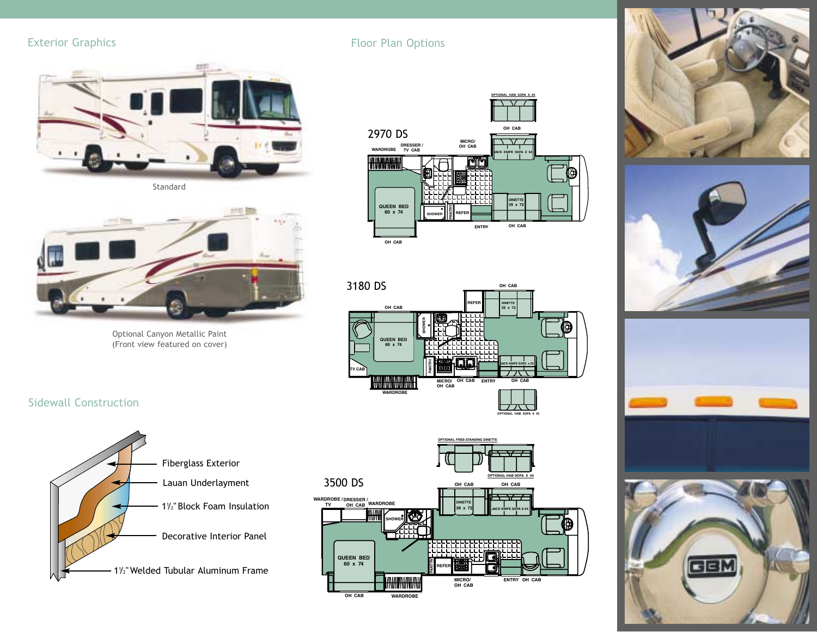# Exterior Graphics



Standard



Optional Canyon Metallic Paint (Front view featured on cover)



















# Floor Plan Options